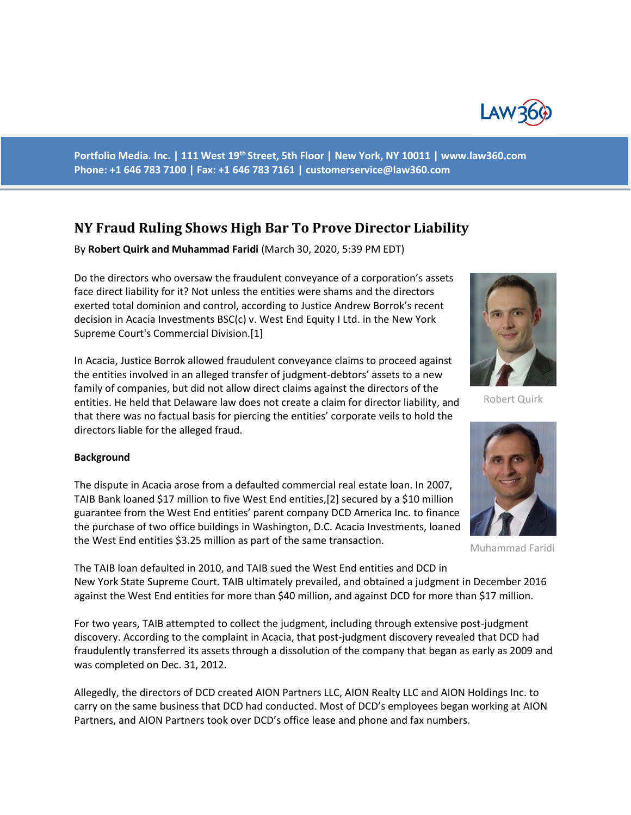

**Portfolio Media. Inc. | 111 West 19th Street, 5th Floor | New York, NY 10011 | www.law360.com Phone: +1 646 783 7100 | Fax: +1 646 783 7161 | customerservice@law360.com**

# **NY Fraud Ruling Shows High Bar To Prove Director Liability**

By **Robert Quirk and Muhammad Faridi** (March 30, 2020, 5:39 PM EDT)

Do the directors who oversaw the fraudulent conveyance of a corporation's assets face direct liability for it? Not unless the entities were shams and the directors exerted total dominion and control, according to Justice Andrew Borrok's recent decision in Acacia Investments BSC(c) v. West End Equity I Ltd. in the New York Supreme Court's Commercial Division.[1]

In Acacia, Justice Borrok allowed fraudulent conveyance claims to proceed against the entities involved in an alleged transfer of judgment-debtors' assets to a new family of companies, but did not allow direct claims against the directors of the entities. He held that Delaware law does not create a claim for director liability, and that there was no factual basis for piercing the entities' corporate veils to hold the directors liable for the alleged fraud.

### **Background**

The dispute in Acacia arose from a defaulted commercial real estate loan. In 2007, TAIB Bank loaned \$17 million to five West End entities,[2] secured by a \$10 million guarantee from the West End entities' parent company DCD America Inc. to finance the purchase of two office buildings in Washington, D.C. Acacia Investments, loaned the West End entities \$3.25 million as part of the same transaction.



Robert Quirk



Muhammad Faridi

The TAIB loan defaulted in 2010, and TAIB sued the West End entities and DCD in New York State Supreme Court. TAIB ultimately prevailed, and obtained a judgment in December 2016 against the West End entities for more than \$40 million, and against DCD for more than \$17 million.

For two years, TAIB attempted to collect the judgment, including through extensive post-judgment discovery. According to the complaint in Acacia, that post-judgment discovery revealed that DCD had fraudulently transferred its assets through a dissolution of the company that began as early as 2009 and was completed on Dec. 31, 2012.

Allegedly, the directors of DCD created AION Partners LLC, AION Realty LLC and AION Holdings Inc. to carry on the same business that DCD had conducted. Most of DCD's employees began working at AION Partners, and AION Partners took over DCD's office lease and phone and fax numbers.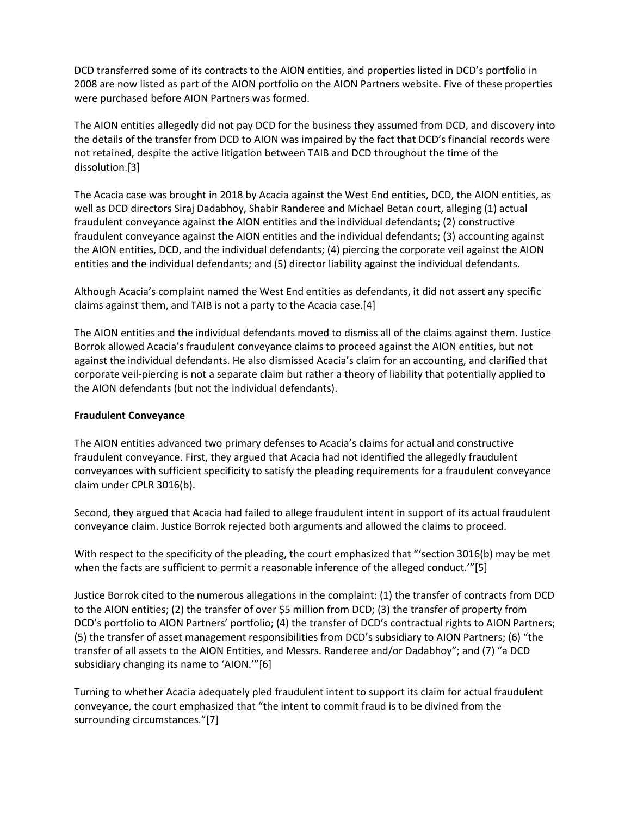DCD transferred some of its contracts to the AION entities, and properties listed in DCD's portfolio in 2008 are now listed as part of the AION portfolio on the AION Partners website. Five of these properties were purchased before AION Partners was formed.

The AION entities allegedly did not pay DCD for the business they assumed from DCD, and discovery into the details of the transfer from DCD to AION was impaired by the fact that DCD's financial records were not retained, despite the active litigation between TAIB and DCD throughout the time of the dissolution.[3]

The Acacia case was brought in 2018 by Acacia against the West End entities, DCD, the AION entities, as well as DCD directors Siraj Dadabhoy, Shabir Randeree and Michael Betan court, alleging (1) actual fraudulent conveyance against the AION entities and the individual defendants; (2) constructive fraudulent conveyance against the AION entities and the individual defendants; (3) accounting against the AION entities, DCD, and the individual defendants; (4) piercing the corporate veil against the AION entities and the individual defendants; and (5) director liability against the individual defendants.

Although Acacia's complaint named the West End entities as defendants, it did not assert any specific claims against them, and TAIB is not a party to the Acacia case.[4]

The AION entities and the individual defendants moved to dismiss all of the claims against them. Justice Borrok allowed Acacia's fraudulent conveyance claims to proceed against the AION entities, but not against the individual defendants. He also dismissed Acacia's claim for an accounting, and clarified that corporate veil-piercing is not a separate claim but rather a theory of liability that potentially applied to the AION defendants (but not the individual defendants).

### **Fraudulent Conveyance**

The AION entities advanced two primary defenses to Acacia's claims for actual and constructive fraudulent conveyance. First, they argued that Acacia had not identified the allegedly fraudulent conveyances with sufficient specificity to satisfy the pleading requirements for a fraudulent conveyance claim under CPLR 3016(b).

Second, they argued that Acacia had failed to allege fraudulent intent in support of its actual fraudulent conveyance claim. Justice Borrok rejected both arguments and allowed the claims to proceed.

With respect to the specificity of the pleading, the court emphasized that "'section 3016(b) may be met when the facts are sufficient to permit a reasonable inference of the alleged conduct.'"[5]

Justice Borrok cited to the numerous allegations in the complaint: (1) the transfer of contracts from DCD to the AION entities; (2) the transfer of over \$5 million from DCD; (3) the transfer of property from DCD's portfolio to AION Partners' portfolio; (4) the transfer of DCD's contractual rights to AION Partners; (5) the transfer of asset management responsibilities from DCD's subsidiary to AION Partners; (6) "the transfer of all assets to the AION Entities, and Messrs. Randeree and/or Dadabhoy"; and (7) "a DCD subsidiary changing its name to 'AION.'"[6]

Turning to whether Acacia adequately pled fraudulent intent to support its claim for actual fraudulent conveyance, the court emphasized that "the intent to commit fraud is to be divined from the surrounding circumstances."[7]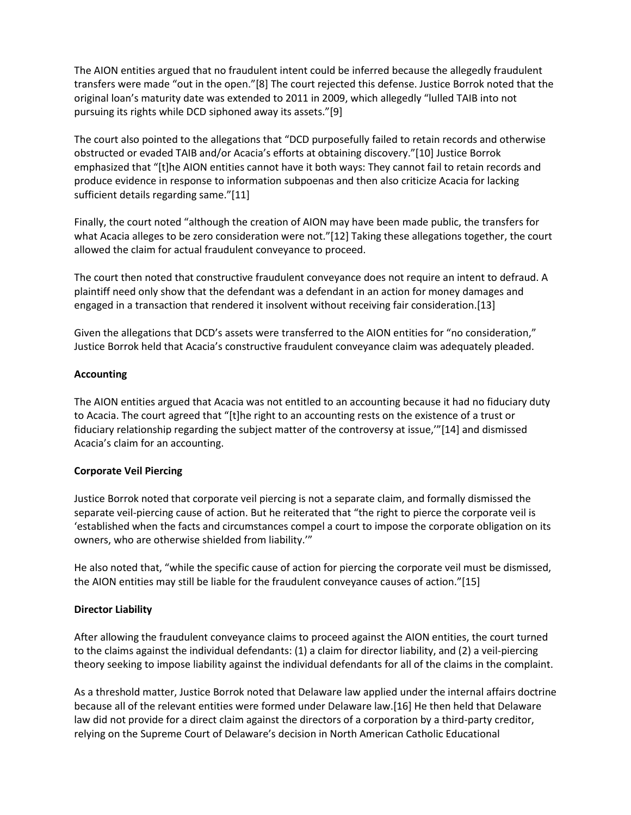The AION entities argued that no fraudulent intent could be inferred because the allegedly fraudulent transfers were made "out in the open."[8] The court rejected this defense. Justice Borrok noted that the original loan's maturity date was extended to 2011 in 2009, which allegedly "lulled TAIB into not pursuing its rights while DCD siphoned away its assets."[9]

The court also pointed to the allegations that "DCD purposefully failed to retain records and otherwise obstructed or evaded TAIB and/or Acacia's efforts at obtaining discovery."[10] Justice Borrok emphasized that "[t]he AION entities cannot have it both ways: They cannot fail to retain records and produce evidence in response to information subpoenas and then also criticize Acacia for lacking sufficient details regarding same."[11]

Finally, the court noted "although the creation of AION may have been made public, the transfers for what Acacia alleges to be zero consideration were not."[12] Taking these allegations together, the court allowed the claim for actual fraudulent conveyance to proceed.

The court then noted that constructive fraudulent conveyance does not require an intent to defraud. A plaintiff need only show that the defendant was a defendant in an action for money damages and engaged in a transaction that rendered it insolvent without receiving fair consideration.[13]

Given the allegations that DCD's assets were transferred to the AION entities for "no consideration," Justice Borrok held that Acacia's constructive fraudulent conveyance claim was adequately pleaded.

### **Accounting**

The AION entities argued that Acacia was not entitled to an accounting because it had no fiduciary duty to Acacia. The court agreed that "[t]he right to an accounting rests on the existence of a trust or fiduciary relationship regarding the subject matter of the controversy at issue,'"[14] and dismissed Acacia's claim for an accounting.

### **Corporate Veil Piercing**

Justice Borrok noted that corporate veil piercing is not a separate claim, and formally dismissed the separate veil-piercing cause of action. But he reiterated that "the right to pierce the corporate veil is 'established when the facts and circumstances compel a court to impose the corporate obligation on its owners, who are otherwise shielded from liability.'"

He also noted that, "while the specific cause of action for piercing the corporate veil must be dismissed, the AION entities may still be liable for the fraudulent conveyance causes of action."[15]

## **Director Liability**

After allowing the fraudulent conveyance claims to proceed against the AION entities, the court turned to the claims against the individual defendants: (1) a claim for director liability, and (2) a veil-piercing theory seeking to impose liability against the individual defendants for all of the claims in the complaint.

As a threshold matter, Justice Borrok noted that Delaware law applied under the internal affairs doctrine because all of the relevant entities were formed under Delaware law.[16] He then held that Delaware law did not provide for a direct claim against the directors of a corporation by a third-party creditor, relying on the Supreme Court of Delaware's decision in North American Catholic Educational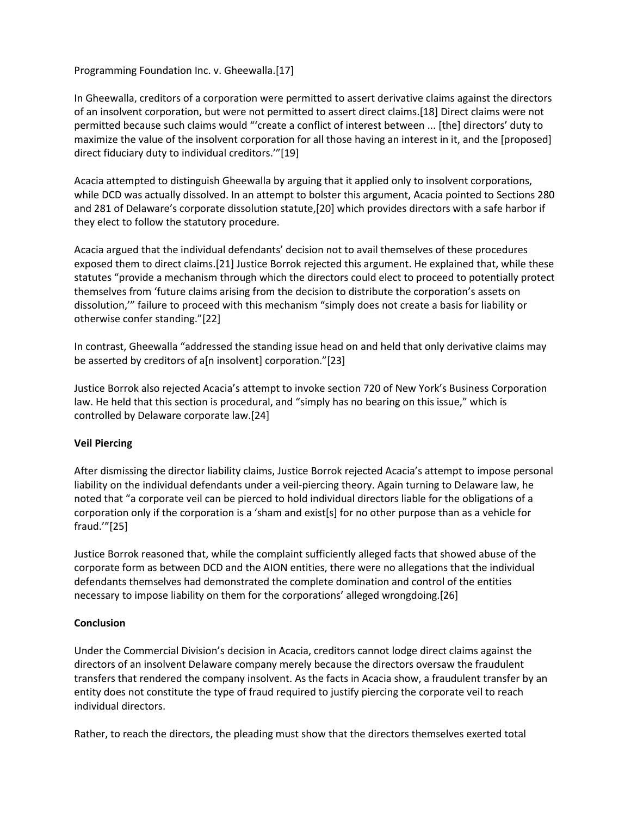Programming Foundation Inc. v. Gheewalla.[17]

In Gheewalla, creditors of a corporation were permitted to assert derivative claims against the directors of an insolvent corporation, but were not permitted to assert direct claims.[18] Direct claims were not permitted because such claims would "'create a conflict of interest between ... [the] directors' duty to maximize the value of the insolvent corporation for all those having an interest in it, and the [proposed] direct fiduciary duty to individual creditors.'"[19]

Acacia attempted to distinguish Gheewalla by arguing that it applied only to insolvent corporations, while DCD was actually dissolved. In an attempt to bolster this argument, Acacia pointed to Sections 280 and 281 of Delaware's corporate dissolution statute,[20] which provides directors with a safe harbor if they elect to follow the statutory procedure.

Acacia argued that the individual defendants' decision not to avail themselves of these procedures exposed them to direct claims.[21] Justice Borrok rejected this argument. He explained that, while these statutes "provide a mechanism through which the directors could elect to proceed to potentially protect themselves from 'future claims arising from the decision to distribute the corporation's assets on dissolution,'" failure to proceed with this mechanism "simply does not create a basis for liability or otherwise confer standing."[22]

In contrast, Gheewalla "addressed the standing issue head on and held that only derivative claims may be asserted by creditors of a[n insolvent] corporation."[23]

Justice Borrok also rejected Acacia's attempt to invoke section 720 of New York's Business Corporation law. He held that this section is procedural, and "simply has no bearing on this issue," which is controlled by Delaware corporate law.[24]

### **Veil Piercing**

After dismissing the director liability claims, Justice Borrok rejected Acacia's attempt to impose personal liability on the individual defendants under a veil-piercing theory. Again turning to Delaware law, he noted that "a corporate veil can be pierced to hold individual directors liable for the obligations of a corporation only if the corporation is a 'sham and exist[s] for no other purpose than as a vehicle for fraud.'"[25]

Justice Borrok reasoned that, while the complaint sufficiently alleged facts that showed abuse of the corporate form as between DCD and the AION entities, there were no allegations that the individual defendants themselves had demonstrated the complete domination and control of the entities necessary to impose liability on them for the corporations' alleged wrongdoing.[26]

### **Conclusion**

Under the Commercial Division's decision in Acacia, creditors cannot lodge direct claims against the directors of an insolvent Delaware company merely because the directors oversaw the fraudulent transfers that rendered the company insolvent. As the facts in Acacia show, a fraudulent transfer by an entity does not constitute the type of fraud required to justify piercing the corporate veil to reach individual directors.

Rather, to reach the directors, the pleading must show that the directors themselves exerted total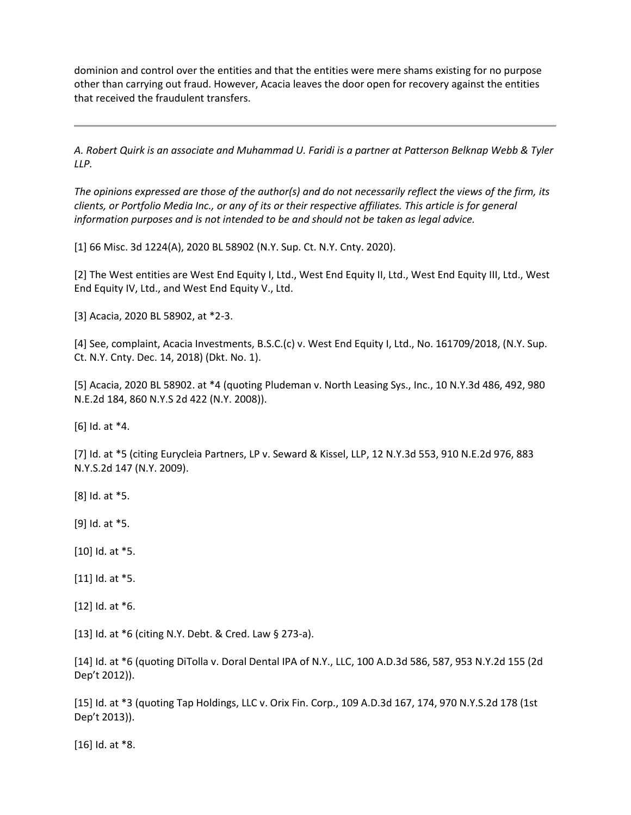dominion and control over the entities and that the entities were mere shams existing for no purpose other than carrying out fraud. However, Acacia leaves the door open for recovery against the entities that received the fraudulent transfers.

*A. Robert Quirk is an associate and Muhammad U. Faridi is a partner at Patterson Belknap Webb & Tyler LLP.*

*The opinions expressed are those of the author(s) and do not necessarily reflect the views of the firm, its clients, or Portfolio Media Inc., or any of its or their respective affiliates. This article is for general information purposes and is not intended to be and should not be taken as legal advice.*

[1] 66 Misc. 3d 1224(A), 2020 BL 58902 (N.Y. Sup. Ct. N.Y. Cnty. 2020).

[2] The West entities are West End Equity I, Ltd., West End Equity II, Ltd., West End Equity III, Ltd., West End Equity IV, Ltd., and West End Equity V., Ltd.

[3] Acacia, 2020 BL 58902, at \*2-3.

[4] See, complaint, Acacia Investments, B.S.C.(c) v. West End Equity I, Ltd., No. 161709/2018, (N.Y. Sup. Ct. N.Y. Cnty. Dec. 14, 2018) (Dkt. No. 1).

[5] Acacia, 2020 BL 58902. at \*4 (quoting Pludeman v. North Leasing Sys., Inc., 10 N.Y.3d 486, 492, 980 N.E.2d 184, 860 N.Y.S 2d 422 (N.Y. 2008)).

[6] Id. at \*4.

[7] Id. at \*5 (citing Eurycleia Partners, LP v. Seward & Kissel, LLP, 12 N.Y.3d 553, 910 N.E.2d 976, 883 N.Y.S.2d 147 (N.Y. 2009).

[8] Id. at \*5.

[9] Id. at \*5.

[10] Id. at \*5.

[11] Id. at  $*5$ .

[12] Id. at \*6.

[13] Id. at \*6 (citing N.Y. Debt. & Cred. Law § 273-a).

[14] Id. at \*6 (quoting DiTolla v. Doral Dental IPA of N.Y., LLC, 100 A.D.3d 586, 587, 953 N.Y.2d 155 (2d Dep't 2012)).

[15] Id. at \*3 (quoting Tap Holdings, LLC v. Orix Fin. Corp., 109 A.D.3d 167, 174, 970 N.Y.S.2d 178 (1st Dep't 2013)).

[16] Id. at \*8.